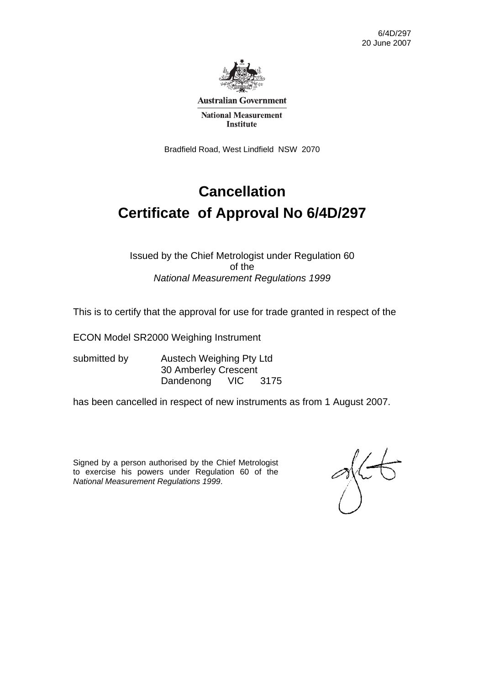6/4D/297 20 June 2007



**Australian Government** 

**National Measurement Institute** 

Bradfield Road, West Lindfield NSW 2070

# **Cancellation Certificate of Approval No 6/4D/297**

Issued by the Chief Metrologist under Regulation 60 of the *National Measurement Regulations 1999* 

This is to certify that the approval for use for trade granted in respect of the

ECON Model SR2000 Weighing Instrument

submitted by **Austech Weighing Pty Ltd**  30 Amberley Crescent Dandenong VIC 3175

has been cancelled in respect of new instruments as from 1 August 2007.

Signed by a person authorised by the Chief Metrologist to exercise his powers under Regulation 60 of the *National Measurement Regulations 1999*.

 $\gamma$ (t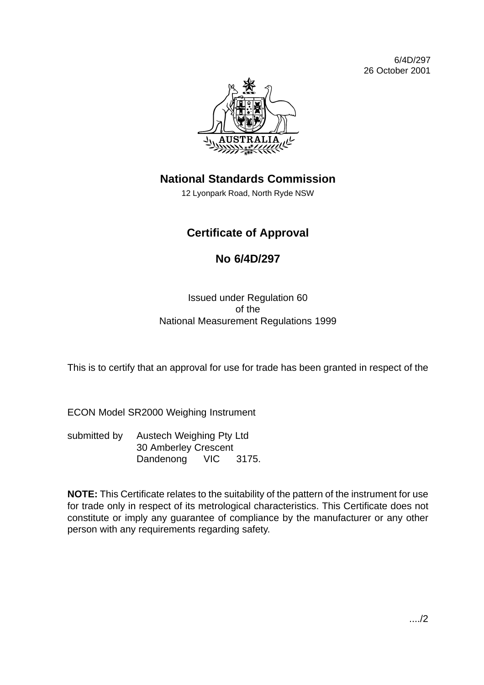6/4D/297 26 October 2001



## **National Standards Commission**

12 Lyonpark Road, North Ryde NSW

## **Certificate of Approval**

### **No 6/4D/297**

Issued under Regulation 60 of the National Measurement Regulations 1999

This is to certify that an approval for use for trade has been granted in respect of the

ECON Model SR2000 Weighing Instrument

submitted by Austech Weighing Pty Ltd 30 Amberley Crescent Dandenong VIC 3175.

**NOTE:** This Certificate relates to the suitability of the pattern of the instrument for use for trade only in respect of its metrological characteristics. This Certificate does not constitute or imply any guarantee of compliance by the manufacturer or any other person with any requirements regarding safety.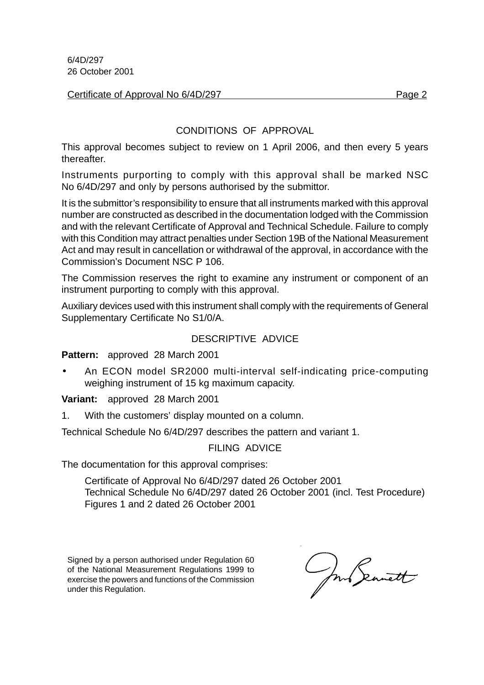6/4D/297 26 October 2001

#### Certificate of Approval No 6/4D/297 Page 2

#### CONDITIONS OF APPROVAL

This approval becomes subject to review on 1 April 2006, and then every 5 years thereafter.

Instruments purporting to comply with this approval shall be marked NSC No 6/4D/297 and only by persons authorised by the submittor.

It is the submittor's responsibility to ensure that all instruments marked with this approval number are constructed as described in the documentation lodged with the Commission and with the relevant Certificate of Approval and Technical Schedule. Failure to comply with this Condition may attract penalties under Section 19B of the National Measurement Act and may result in cancellation or withdrawal of the approval, in accordance with the Commission's Document NSC P 106.

The Commission reserves the right to examine any instrument or component of an instrument purporting to comply with this approval.

Auxiliary devices used with this instrument shall comply with the requirements of General Supplementary Certificate No S1/0/A.

#### DESCRIPTIVE ADVICE

**Pattern:** approved 28 March 2001

• An ECON model SR2000 multi-interval self-indicating price-computing weighing instrument of 15 kg maximum capacity.

**Variant:** approved 28 March 2001

1. With the customers' display mounted on a column.

Technical Schedule No 6/4D/297 describes the pattern and variant 1.

#### FILING ADVICE

The documentation for this approval comprises:

Certificate of Approval No 6/4D/297 dated 26 October 2001 Technical Schedule No 6/4D/297 dated 26 October 2001 (incl. Test Procedure) Figures 1 and 2 dated 26 October 2001

Signed by a person authorised under Regulation 60 of the National Measurement Regulations 1999 to exercise the powers and functions of the Commission under this Regulation.

mb Seanett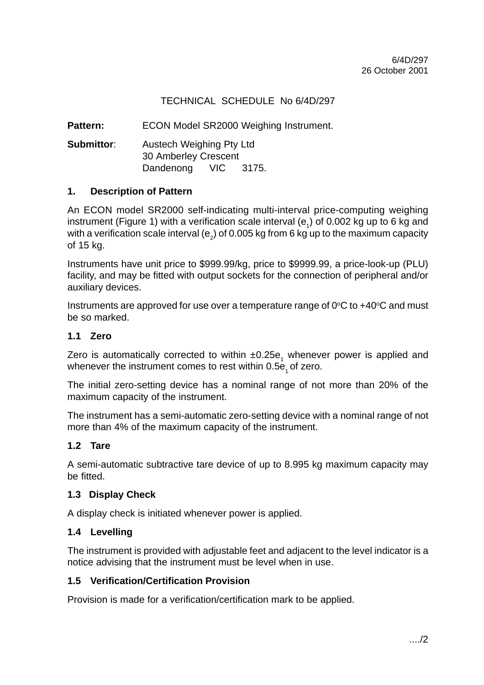#### TECHNICAL SCHEDULE No 6/4D/297

Pattern: ECON Model SR2000 Weighing Instrument.

**Submittor:** Austech Weighing Pty Ltd 30 Amberley Crescent Dandenong VIC 3175.

#### **1. Description of Pattern**

An ECON model SR2000 self-indicating multi-interval price-computing weighing instrument (Figure 1) with a verification scale interval (e<sub>1</sub>) of 0.002 kg up to 6 kg and with a verification scale interval (e<sub>2</sub>) of 0.005 kg from 6 kg up to the maximum capacity of 15 kg.

Instruments have unit price to \$999.99/kg, price to \$9999.99, a price-look-up (PLU) facility, and may be fitted with output sockets for the connection of peripheral and/or auxiliary devices.

Instruments are approved for use over a temperature range of  $0^{\circ}$ C to +40 $^{\circ}$ C and must be so marked.

#### **1.1 Zero**

Zero is automatically corrected to within  $\pm 0.25$ e<sub>1</sub> whenever power is applied and whenever the instrument comes to rest within  $0.5e<sub>1</sub>$  of zero.

The initial zero-setting device has a nominal range of not more than 20% of the maximum capacity of the instrument.

The instrument has a semi-automatic zero-setting device with a nominal range of not more than 4% of the maximum capacity of the instrument.

#### **1.2 Tare**

A semi-automatic subtractive tare device of up to 8.995 kg maximum capacity may be fitted.

#### **1.3 Display Check**

A display check is initiated whenever power is applied.

#### **1.4 Levelling**

The instrument is provided with adjustable feet and adjacent to the level indicator is a notice advising that the instrument must be level when in use.

#### **1.5 Verification/Certification Provision**

Provision is made for a verification/certification mark to be applied.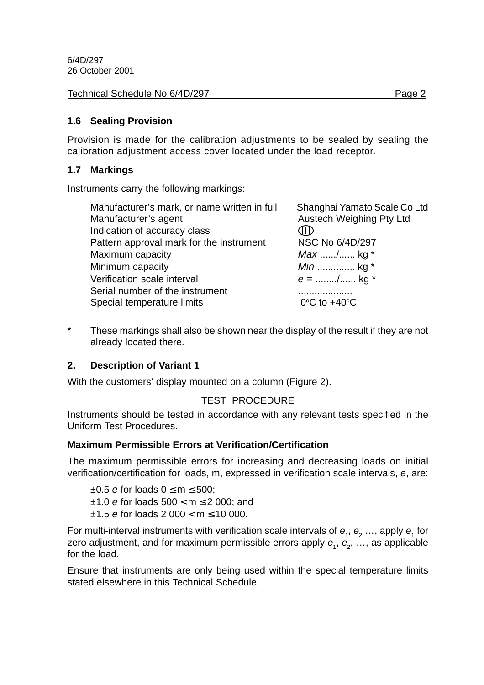| Technical Schedule No 6/4D/297<br>Page 2 |
|------------------------------------------|
|                                          |

#### **1.6 Sealing Provision**

Provision is made for the calibration adjustments to be sealed by sealing the calibration adjustment access cover located under the load receptor.

#### **1.7 Markings**

Instruments carry the following markings:

| Manufacturer's mark, or name written in full<br>Manufacturer's agent<br>Indication of accuracy class | Shanghai Yamato Scale Co Ltd<br>Austech Weighing Pty Ltd<br>JID |
|------------------------------------------------------------------------------------------------------|-----------------------------------------------------------------|
| Pattern approval mark for the instrument                                                             | NSC No 6/4D/297                                                 |
| Maximum capacity                                                                                     | <i>Max</i> / kg *                                               |
| Minimum capacity                                                                                     | <i>Min</i> kg $*$                                               |
| Verification scale interval                                                                          | $e =$ / kg *                                                    |
| Serial number of the instrument                                                                      |                                                                 |
| Special temperature limits                                                                           | $0^{\circ}$ C to +40 $^{\circ}$ C                               |

\* These markings shall also be shown near the display of the result if they are not already located there.

#### **2. Description of Variant 1**

With the customers' display mounted on a column (Figure 2).

#### TEST PROCEDURE

Instruments should be tested in accordance with any relevant tests specified in the Uniform Test Procedures.

#### **Maximum Permissible Errors at Verification/Certification**

The maximum permissible errors for increasing and decreasing loads on initial verification/certification for loads, m, expressed in verification scale intervals, e, are:

 $\pm 0.5$  e for loads  $0 \le m \le 500$ ;  $±1.0$  e for loads  $500 < m \le 2000$ ; and  $±1.5$  e for loads 2 000 < m  $≤ 10$  000.

For multi-interval instruments with verification scale intervals of  $e_1$ ,  $e_2$  ..., apply  $e_1$  for zero adjustment, and for maximum permissible errors apply  $\bm{e}_{_{1}},$   $\bm{e}_{_{2}},$  …, as applicable for the load.

Ensure that instruments are only being used within the special temperature limits stated elsewhere in this Technical Schedule.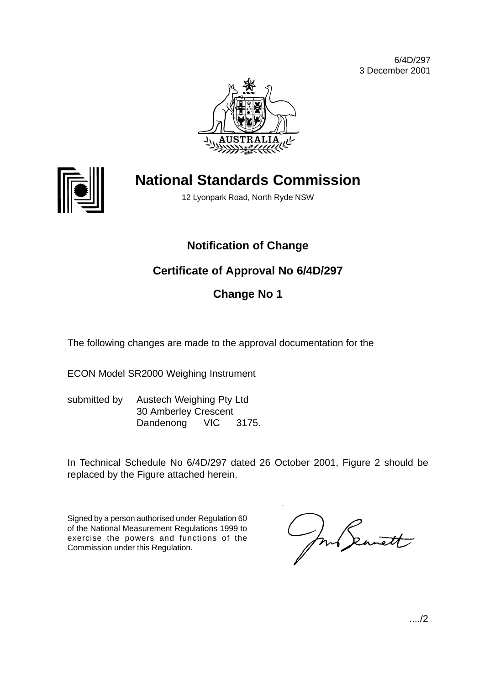6/4D/297 3 December 2001





# **National Standards Commission**

12 Lyonpark Road, North Ryde NSW

# **Notification of Change**

# **Certificate of Approval No 6/4D/297**

# **Change No 1**

The following changes are made to the approval documentation for the

ECON Model SR2000 Weighing Instrument

submitted by Austech Weighing Pty Ltd 30 Amberley Crescent Dandenong VIC 3175.

In Technical Schedule No 6/4D/297 dated 26 October 2001, Figure 2 should be replaced by the Figure attached herein.

Signed by a person authorised under Regulation 60 of the National Measurement Regulations 1999 to exercise the powers and functions of the Commission under this Regulation.

June Seanett

..../2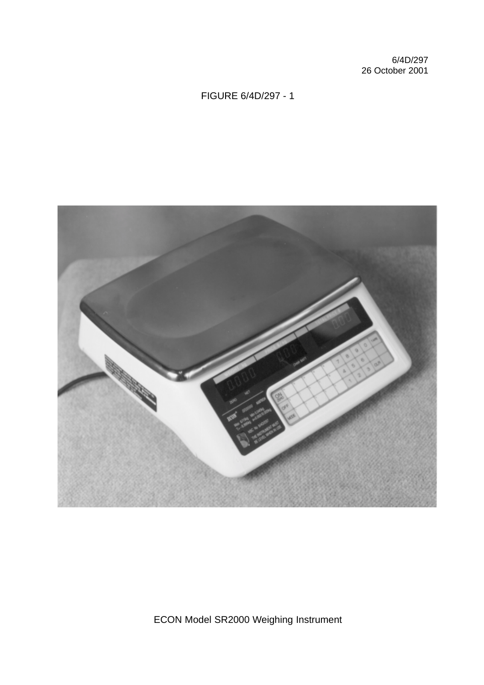6/4D/297 26 October 2001

### FIGURE 6/4D/297 - 1



ECON Model SR2000 Weighing Instrument